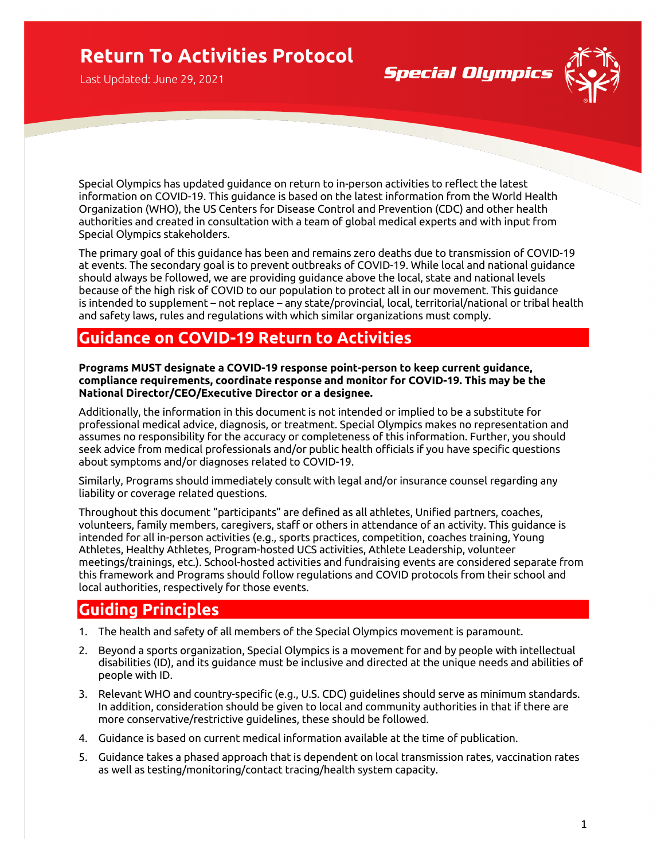# **Return To Activities Protocol**

Last Updated: June 29, 2021

Special Olympics has updated guidance on return to in-person activities to reflect the latest information on COVID-19. This guidance is based on the latest information from the World Health Organization (WHO), the US Centers for Disease Control and Prevention (CDC) and other health authorities and created in consultation with a team of global medical experts and with input from Special Olympics stakeholders.

**Special Olympics** 

The primary goal of this guidance has been and remains zero deaths due to transmission of COVID-19 at events. The secondary goal is to prevent outbreaks of COVID-19. While local and national guidance should always be followed, we are providing guidance above the local, state and national levels because of the high risk of COVID to our population to protect all in our movement. This guidance is intended to supplement – not replace – any state/provincial, local, territorial/national or tribal health and safety laws, rules and regulations with which similar organizations must comply.

## **Guidance on COVID-19 Return to Activities**

**Programs MUST designate a COVID-19 response point-person to keep current guidance, compliance requirements, coordinate response and monitor for COVID-19. This may be the National Director/CEO/Executive Director or a designee.** 

Additionally, the information in this document is not intended or implied to be a substitute for professional medical advice, diagnosis, or treatment. Special Olympics makes no representation and assumes no responsibility for the accuracy or completeness of this information. Further, you should seek advice from medical professionals and/or public health officials if you have specific questions about symptoms and/or diagnoses related to COVID-19.

Similarly, Programs should immediately consult with legal and/or insurance counsel regarding any liability or coverage related questions.

Throughout this document "participants" are defined as all athletes, Unified partners, coaches, volunteers, family members, caregivers, staff or others in attendance of an activity. This guidance is intended for all in-person activities (e.g., sports practices, competition, coaches training, Young Athletes, Healthy Athletes, Program-hosted UCS activities, Athlete Leadership, volunteer meetings/trainings, etc.). School-hosted activities and fundraising events are considered separate from this framework and Programs should follow regulations and COVID protocols from their school and local authorities, respectively for those events.

## **Guiding Principles**

- 1. The health and safety of all members of the Special Olympics movement is paramount.
- 2. Beyond a sports organization, Special Olympics is a movement for and by people with intellectual disabilities (ID), and its guidance must be inclusive and directed at the unique needs and abilities of people with ID.
- 3. Relevant WHO and country-specific (e.g., U.S. CDC) guidelines should serve as minimum standards. In addition, consideration should be given to local and community authorities in that if there are more conservative/restrictive guidelines, these should be followed.
- 4. Guidance is based on current medical information available at the time of publication.
- 5. Guidance takes a phased approach that is dependent on local transmission rates, vaccination rates as well as testing/monitoring/contact tracing/health system capacity.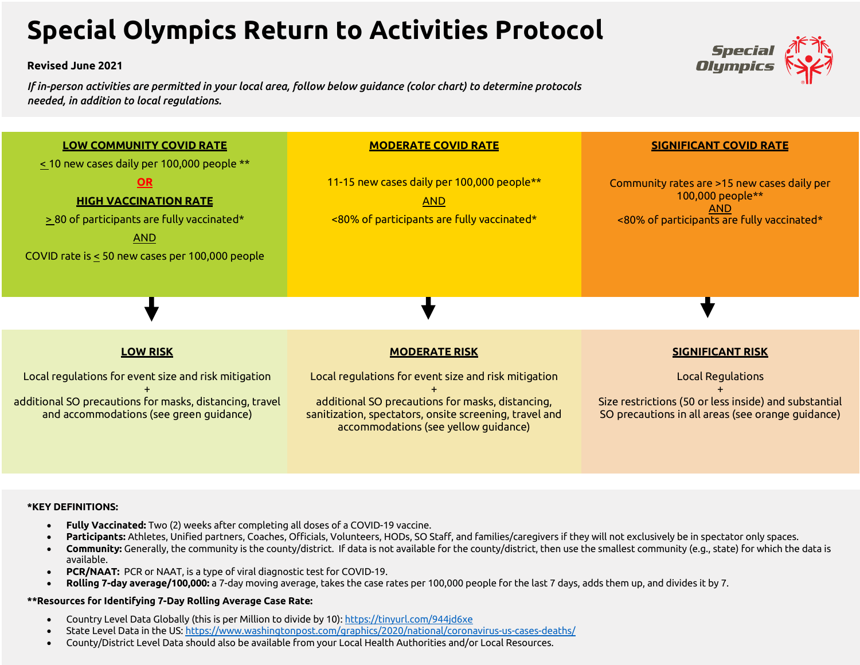# **Special Olympics Return to Activities Protocol**

#### **Revised June 2021**

*If in-person activities are permitted in your local area, follow below guidance (color chart) to determine protocols needed, in addition to local regulations.*





#### **\*KEY DEFINITIONS:**

- **Fully Vaccinated:** Two (2) weeks after completing all doses of a COVID-19 vaccine.
- Participants: Athletes, Unified partners, Coaches, Officials, Volunteers, HODs, SO Staff, and families/caregivers if they will not exclusively be in spectator only spaces.
- **Community:** Generally, the community is the county/district. If data is not available for the county/district, then use the smallest community (e.g., state) for which the data is available.
- **PCR/NAAT:** PCR or NAAT, is a type of viral diagnostic test for COVID-19.
- **Rolling 7-day average/100,000:** a 7-day moving average, takes the case rates per 100,000 people for the last 7 days, adds them up, and divides it by 7.

#### **\*\*Resources for Identifying 7-Day Rolling Average Case Rate:**

- Country Level Data Globally (this is per Million to divide by 10): https://tinyurl.com/944jd6xe
- State Level Data in the US: https://www.washingtonpost.com/graphics/2020/national/coronavirus-us-cases-deaths/
- County/District Level Data should also be available from your Local Health Authorities and/or Local Resources.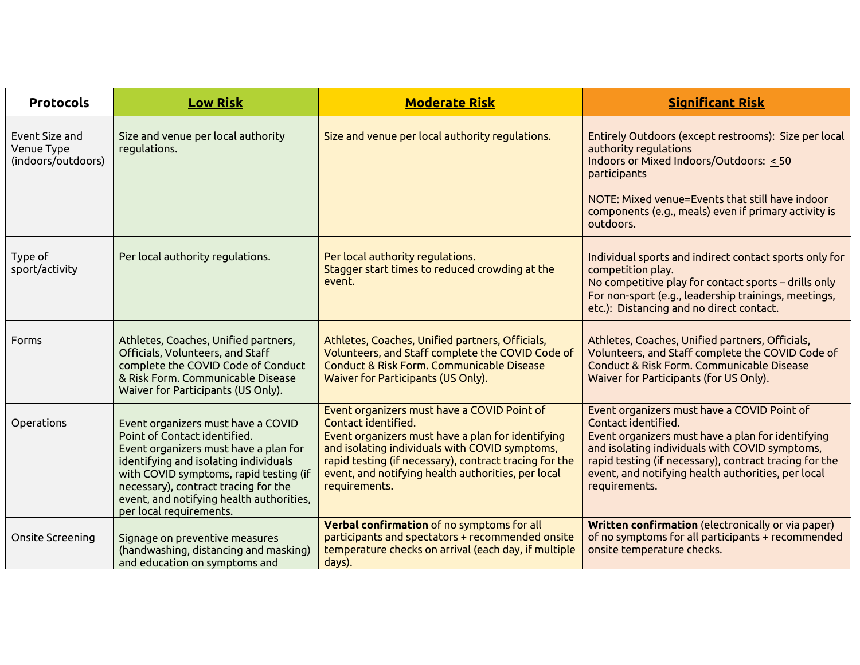| <b>Protocols</b>                                   | <b>Low Risk</b>                                                                                                                                                                                                                                                                                               | <b>Moderate Risk</b>                                                                                                                                                                                                                                                                                       | <b>Significant Risk</b>                                                                                                                                                                                                                                                                                    |
|----------------------------------------------------|---------------------------------------------------------------------------------------------------------------------------------------------------------------------------------------------------------------------------------------------------------------------------------------------------------------|------------------------------------------------------------------------------------------------------------------------------------------------------------------------------------------------------------------------------------------------------------------------------------------------------------|------------------------------------------------------------------------------------------------------------------------------------------------------------------------------------------------------------------------------------------------------------------------------------------------------------|
| Event Size and<br>Venue Type<br>(indoors/outdoors) | Size and venue per local authority<br>regulations.                                                                                                                                                                                                                                                            | Size and venue per local authority regulations.                                                                                                                                                                                                                                                            | Entirely Outdoors (except restrooms): Size per local<br>authority regulations<br>Indoors or Mixed Indoors/Outdoors: < 50<br>participants<br>NOTE: Mixed venue=Events that still have indoor<br>components (e.g., meals) even if primary activity is<br>outdoors.                                           |
| Type of<br>sport/activity                          | Per local authority regulations.                                                                                                                                                                                                                                                                              | Per local authority regulations.<br>Stagger start times to reduced crowding at the<br>event.                                                                                                                                                                                                               | Individual sports and indirect contact sports only for<br>competition play.<br>No competitive play for contact sports – drills only<br>For non-sport (e.g., leadership trainings, meetings,<br>etc.): Distancing and no direct contact.                                                                    |
| Forms                                              | Athletes, Coaches, Unified partners,<br>Officials, Volunteers, and Staff<br>complete the COVID Code of Conduct<br>& Risk Form. Communicable Disease<br>Waiver for Participants (US Only).                                                                                                                     | Athletes, Coaches, Unified partners, Officials,<br>Volunteers, and Staff complete the COVID Code of<br>Conduct & Risk Form. Communicable Disease<br>Waiver for Participants (US Only).                                                                                                                     | Athletes, Coaches, Unified partners, Officials,<br>Volunteers, and Staff complete the COVID Code of<br>Conduct & Risk Form, Communicable Disease<br>Waiver for Participants (for US Only).                                                                                                                 |
| Operations                                         | Event organizers must have a COVID<br>Point of Contact identified.<br>Event organizers must have a plan for<br>identifying and isolating individuals<br>with COVID symptoms, rapid testing (if<br>necessary), contract tracing for the<br>event, and notifying health authorities,<br>per local requirements. | Event organizers must have a COVID Point of<br>Contact identified.<br>Event organizers must have a plan for identifying<br>and isolating individuals with COVID symptoms,<br>rapid testing (if necessary), contract tracing for the<br>event, and notifying health authorities, per local<br>requirements. | Event organizers must have a COVID Point of<br>Contact identified.<br>Event organizers must have a plan for identifying<br>and isolating individuals with COVID symptoms,<br>rapid testing (if necessary), contract tracing for the<br>event, and notifying health authorities, per local<br>requirements. |
| Onsite Screening                                   | Signage on preventive measures<br>(handwashing, distancing and masking)<br>and education on symptoms and                                                                                                                                                                                                      | Verbal confirmation of no symptoms for all<br>participants and spectators + recommended onsite<br>temperature checks on arrival (each day, if multiple<br>days).                                                                                                                                           | Written confirmation (electronically or via paper)<br>of no symptoms for all participants + recommended<br>onsite temperature checks.                                                                                                                                                                      |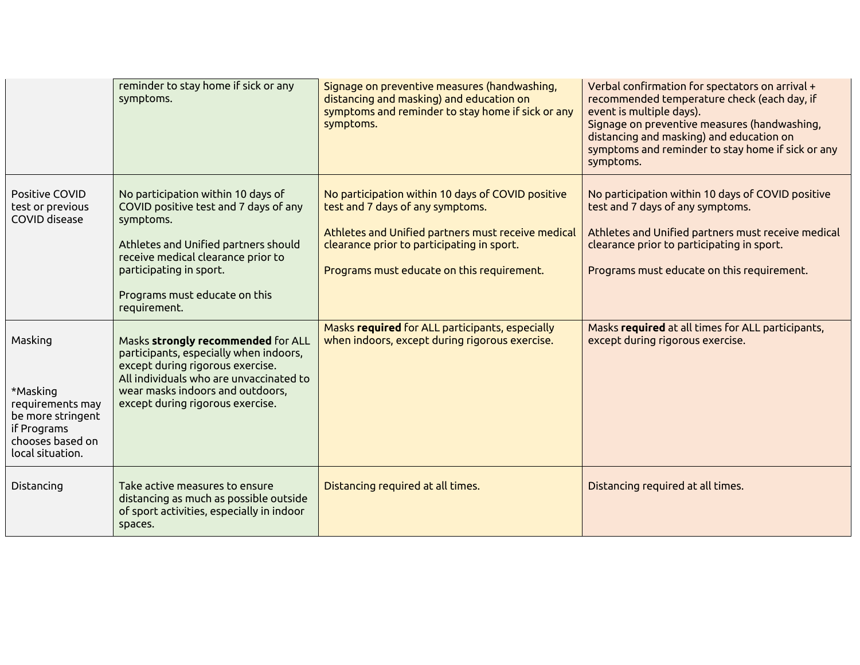|                                                                                                                     | reminder to stay home if sick or any<br>symptoms.                                                                                                                                                                                                  | Signage on preventive measures (handwashing,<br>distancing and masking) and education on<br>symptoms and reminder to stay home if sick or any<br>symptoms.                                                                              | Verbal confirmation for spectators on arrival +<br>recommended temperature check (each day, if<br>event is multiple days).<br>Signage on preventive measures (handwashing,<br>distancing and masking) and education on<br>symptoms and reminder to stay home if sick or any<br>symptoms. |
|---------------------------------------------------------------------------------------------------------------------|----------------------------------------------------------------------------------------------------------------------------------------------------------------------------------------------------------------------------------------------------|-----------------------------------------------------------------------------------------------------------------------------------------------------------------------------------------------------------------------------------------|------------------------------------------------------------------------------------------------------------------------------------------------------------------------------------------------------------------------------------------------------------------------------------------|
| Positive COVID<br>test or previous<br>COVID disease                                                                 | No participation within 10 days of<br>COVID positive test and 7 days of any<br>symptoms.<br>Athletes and Unified partners should<br>receive medical clearance prior to<br>participating in sport.<br>Programs must educate on this<br>requirement. | No participation within 10 days of COVID positive<br>test and 7 days of any symptoms.<br>Athletes and Unified partners must receive medical<br>clearance prior to participating in sport.<br>Programs must educate on this requirement. | No participation within 10 days of COVID positive<br>test and 7 days of any symptoms.<br>Athletes and Unified partners must receive medical<br>clearance prior to participating in sport.<br>Programs must educate on this requirement.                                                  |
| Masking<br>*Masking<br>requirements may<br>be more stringent<br>if Programs<br>chooses based on<br>local situation. | Masks strongly recommended for ALL<br>participants, especially when indoors,<br>except during rigorous exercise.<br>All individuals who are unvaccinated to<br>wear masks indoors and outdoors,<br>except during rigorous exercise.                | Masks required for ALL participants, especially<br>when indoors, except during rigorous exercise.                                                                                                                                       | Masks required at all times for ALL participants,<br>except during rigorous exercise.                                                                                                                                                                                                    |
| Distancing                                                                                                          | Take active measures to ensure<br>distancing as much as possible outside<br>of sport activities, especially in indoor<br>spaces.                                                                                                                   | Distancing required at all times.                                                                                                                                                                                                       | Distancing required at all times.                                                                                                                                                                                                                                                        |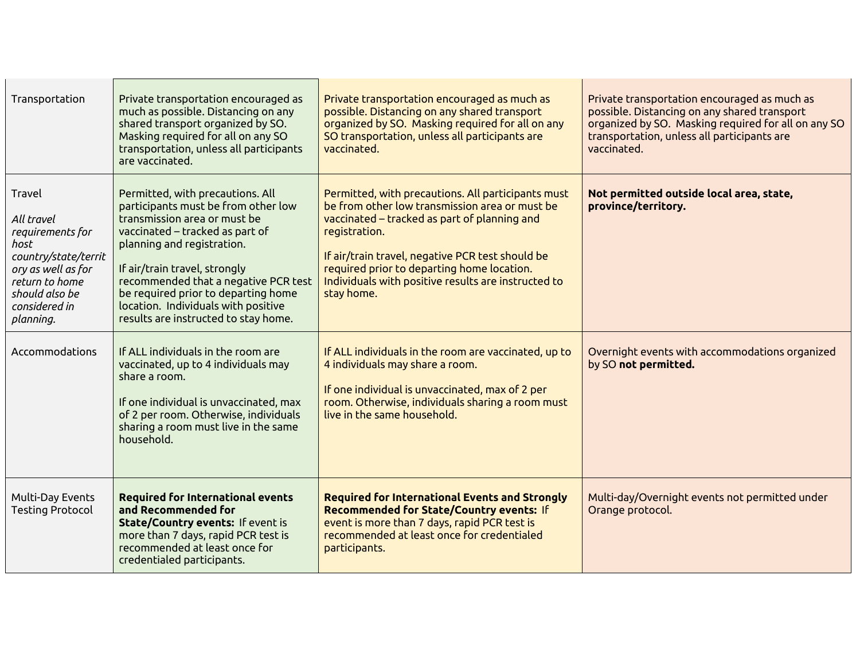| Transportation                                                                                                                                                   | Private transportation encouraged as<br>much as possible. Distancing on any<br>shared transport organized by SO.<br>Masking required for all on any SO<br>transportation, unless all participants<br>are vaccinated.                                                                                                                                                    | Private transportation encouraged as much as<br>possible. Distancing on any shared transport<br>organized by SO. Masking required for all on any<br>SO transportation, unless all participants are<br>vaccinated.                                                                                                                            | Private transportation encouraged as much as<br>possible. Distancing on any shared transport<br>organized by SO. Masking required for all on any SO<br>transportation, unless all participants are<br>vaccinated. |
|------------------------------------------------------------------------------------------------------------------------------------------------------------------|-------------------------------------------------------------------------------------------------------------------------------------------------------------------------------------------------------------------------------------------------------------------------------------------------------------------------------------------------------------------------|----------------------------------------------------------------------------------------------------------------------------------------------------------------------------------------------------------------------------------------------------------------------------------------------------------------------------------------------|-------------------------------------------------------------------------------------------------------------------------------------------------------------------------------------------------------------------|
| Travel<br>All travel<br>requirements for<br>host<br>country/state/territ<br>ory as well as for<br>return to home<br>should also be<br>considered in<br>planning. | Permitted, with precautions. All<br>participants must be from other low<br>transmission area or must be<br>vaccinated – tracked as part of<br>planning and registration.<br>If air/train travel, strongly<br>recommended that a negative PCR test<br>be required prior to departing home<br>location. Individuals with positive<br>results are instructed to stay home. | Permitted, with precautions. All participants must<br>be from other low transmission area or must be<br>vaccinated – tracked as part of planning and<br>registration.<br>If air/train travel, negative PCR test should be<br>required prior to departing home location.<br>Individuals with positive results are instructed to<br>stay home. | Not permitted outside local area, state,<br>province/territory.                                                                                                                                                   |
| Accommodations                                                                                                                                                   | If ALL individuals in the room are<br>vaccinated, up to 4 individuals may<br>share a room.<br>If one individual is unvaccinated, max<br>of 2 per room. Otherwise, individuals<br>sharing a room must live in the same<br>household.                                                                                                                                     | If ALL individuals in the room are vaccinated, up to<br>4 individuals may share a room.<br>If one individual is unvaccinated, max of 2 per<br>room. Otherwise, individuals sharing a room must<br>live in the same household.                                                                                                                | Overnight events with accommodations organized<br>by SO not permitted.                                                                                                                                            |
| Multi-Day Events<br><b>Testing Protocol</b>                                                                                                                      | <b>Required for International events</b><br>and Recommended for<br>State/Country events: If event is<br>more than 7 days, rapid PCR test is<br>recommended at least once for<br>credentialed participants.                                                                                                                                                              | <b>Required for International Events and Strongly</b><br>Recommended for State/Country events: If<br>event is more than 7 days, rapid PCR test is<br>recommended at least once for credentialed<br>participants.                                                                                                                             | Multi-day/Overnight events not permitted under<br>Orange protocol.                                                                                                                                                |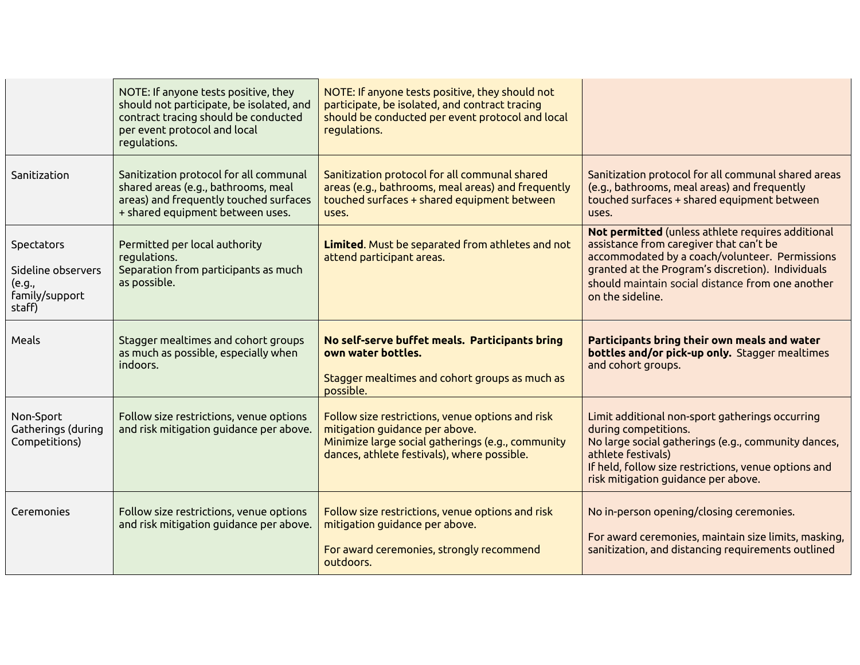|                                                                        | NOTE: If anyone tests positive, they<br>should not participate, be isolated, and<br>contract tracing should be conducted<br>per event protocol and local<br>regulations. | NOTE: If anyone tests positive, they should not<br>participate, be isolated, and contract tracing<br>should be conducted per event protocol and local<br>regulations.                  |                                                                                                                                                                                                                                                                             |
|------------------------------------------------------------------------|--------------------------------------------------------------------------------------------------------------------------------------------------------------------------|----------------------------------------------------------------------------------------------------------------------------------------------------------------------------------------|-----------------------------------------------------------------------------------------------------------------------------------------------------------------------------------------------------------------------------------------------------------------------------|
| Sanitization                                                           | Sanitization protocol for all communal<br>shared areas (e.g., bathrooms, meal<br>areas) and frequently touched surfaces<br>+ shared equipment between uses.              | Sanitization protocol for all communal shared<br>areas (e.g., bathrooms, meal areas) and frequently<br>touched surfaces + shared equipment between<br>uses.                            | Sanitization protocol for all communal shared areas<br>(e.g., bathrooms, meal areas) and frequently<br>touched surfaces + shared equipment between<br>uses.                                                                                                                 |
| Spectators<br>Sideline observers<br>(e.g.,<br>family/support<br>staff) | Permitted per local authority<br>regulations.<br>Separation from participants as much<br>as possible.                                                                    | Limited. Must be separated from athletes and not<br>attend participant areas.                                                                                                          | Not permitted (unless athlete requires additional<br>assistance from caregiver that can't be<br>accommodated by a coach/volunteer. Permissions<br>granted at the Program's discretion). Individuals<br>should maintain social distance from one another<br>on the sideline. |
|                                                                        |                                                                                                                                                                          |                                                                                                                                                                                        |                                                                                                                                                                                                                                                                             |
| Meals                                                                  | Stagger mealtimes and cohort groups<br>as much as possible, especially when<br>indoors.                                                                                  | No self-serve buffet meals. Participants bring<br>own water bottles.<br>Stagger mealtimes and cohort groups as much as<br>possible.                                                    | Participants bring their own meals and water<br>bottles and/or pick-up only. Stagger mealtimes<br>and cohort groups.                                                                                                                                                        |
| Non-Sport<br>Gatherings (during<br>Competitions)                       | Follow size restrictions, venue options<br>and risk mitigation guidance per above.                                                                                       | Follow size restrictions, venue options and risk<br>mitigation guidance per above.<br>Minimize large social gatherings (e.g., community<br>dances, athlete festivals), where possible. | Limit additional non-sport gatherings occurring<br>during competitions.<br>No large social gatherings (e.g., community dances,<br>athlete festivals)<br>If held, follow size restrictions, venue options and<br>risk mitigation guidance per above.                         |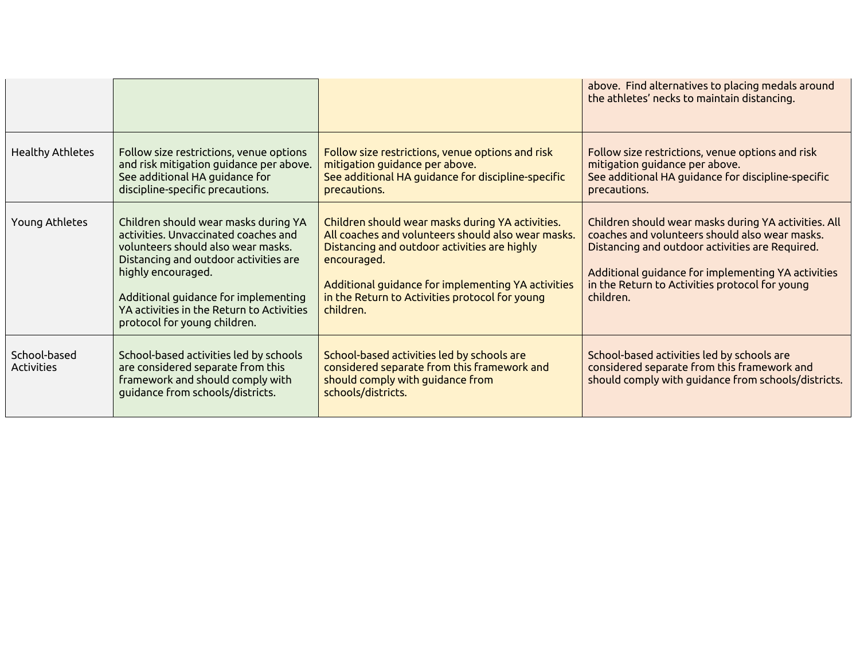|                            |                                                                                                                                                                                                                                                                                                        |                                                                                                                                                                                                                                                                                            | above. Find alternatives to placing medals around<br>the athletes' necks to maintain distancing.                                                                                                                                                                               |
|----------------------------|--------------------------------------------------------------------------------------------------------------------------------------------------------------------------------------------------------------------------------------------------------------------------------------------------------|--------------------------------------------------------------------------------------------------------------------------------------------------------------------------------------------------------------------------------------------------------------------------------------------|--------------------------------------------------------------------------------------------------------------------------------------------------------------------------------------------------------------------------------------------------------------------------------|
| <b>Healthy Athletes</b>    | Follow size restrictions, venue options<br>and risk mitigation guidance per above.<br>See additional HA guidance for<br>discipline-specific precautions.                                                                                                                                               | Follow size restrictions, venue options and risk<br>mitigation guidance per above.<br>See additional HA guidance for discipline-specific<br>precautions.                                                                                                                                   | Follow size restrictions, venue options and risk<br>mitigation guidance per above.<br>See additional HA guidance for discipline-specific<br>precautions.                                                                                                                       |
| Young Athletes             | Children should wear masks during YA<br>activities. Unvaccinated coaches and<br>volunteers should also wear masks.<br>Distancing and outdoor activities are<br>highly encouraged.<br>Additional guidance for implementing<br>YA activities in the Return to Activities<br>protocol for young children. | Children should wear masks during YA activities.<br>All coaches and volunteers should also wear masks.<br>Distancing and outdoor activities are highly<br>encouraged.<br>Additional guidance for implementing YA activities<br>in the Return to Activities protocol for young<br>children. | Children should wear masks during YA activities. All<br>coaches and volunteers should also wear masks.<br>Distancing and outdoor activities are Required.<br>Additional guidance for implementing YA activities<br>in the Return to Activities protocol for young<br>children. |
| School-based<br>Activities | School-based activities led by schools<br>are considered separate from this<br>framework and should comply with<br>guidance from schools/districts.                                                                                                                                                    | School-based activities led by schools are<br>considered separate from this framework and<br>should comply with guidance from<br>schools/districts.                                                                                                                                        | School-based activities led by schools are<br>considered separate from this framework and<br>should comply with guidance from schools/districts.                                                                                                                               |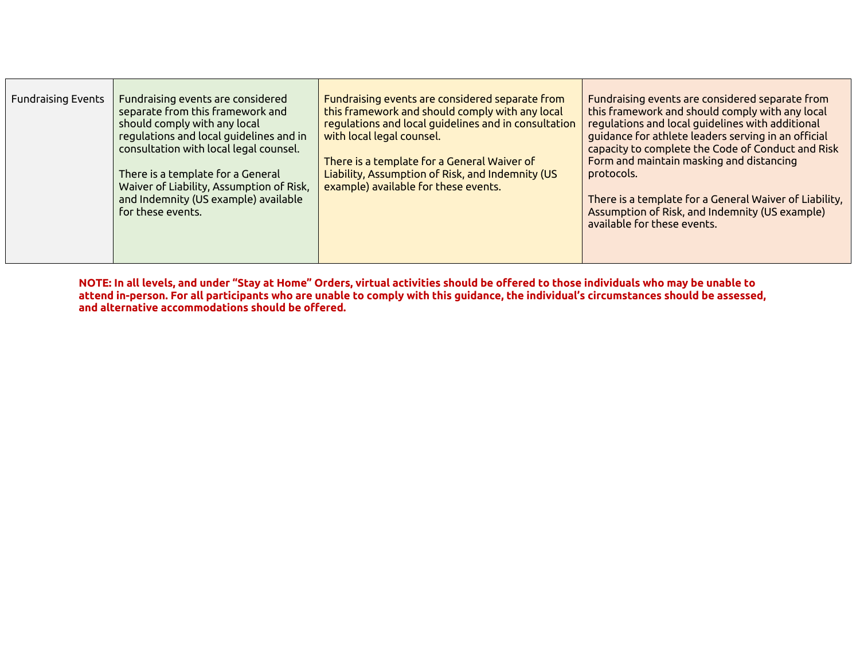| <b>Fundraising Events</b> | Fundraising events are considered<br>separate from this framework and<br>should comply with any local<br>regulations and local guidelines and in<br>consultation with local legal counsel.<br>There is a template for a General<br>Waiver of Liability, Assumption of Risk,<br>and Indemnity (US example) available<br>for these events. | Fundraising events are considered separate from<br>this framework and should comply with any local<br>regulations and local guidelines and in consultation<br>with local legal counsel.<br>There is a template for a General Waiver of<br>Liability, Assumption of Risk, and Indemnity (US<br>example) available for these events. | Fundraising events are considered separate from<br>this framework and should comply with any local<br>regulations and local guidelines with additional<br>guidance for athlete leaders serving in an official<br>capacity to complete the Code of Conduct and Risk<br>Form and maintain masking and distancing<br>protocols.<br>There is a template for a General Waiver of Liability,<br>Assumption of Risk, and Indemnity (US example)<br>available for these events. |
|---------------------------|------------------------------------------------------------------------------------------------------------------------------------------------------------------------------------------------------------------------------------------------------------------------------------------------------------------------------------------|------------------------------------------------------------------------------------------------------------------------------------------------------------------------------------------------------------------------------------------------------------------------------------------------------------------------------------|-------------------------------------------------------------------------------------------------------------------------------------------------------------------------------------------------------------------------------------------------------------------------------------------------------------------------------------------------------------------------------------------------------------------------------------------------------------------------|
|---------------------------|------------------------------------------------------------------------------------------------------------------------------------------------------------------------------------------------------------------------------------------------------------------------------------------------------------------------------------------|------------------------------------------------------------------------------------------------------------------------------------------------------------------------------------------------------------------------------------------------------------------------------------------------------------------------------------|-------------------------------------------------------------------------------------------------------------------------------------------------------------------------------------------------------------------------------------------------------------------------------------------------------------------------------------------------------------------------------------------------------------------------------------------------------------------------|

**NOTE: In all levels, and under "Stay at Home" Orders, virtual activities should be offered to those individuals who may be unable to attend in-person. For all participants who are unable to comply with this guidance, the individual's circumstances should be assessed, and alternative accommodations should be offered.**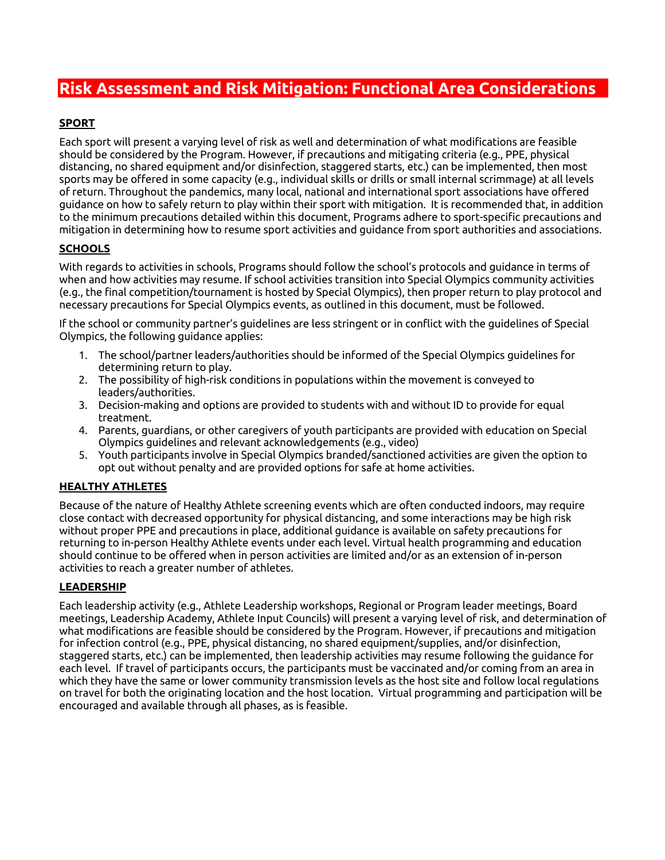## **Risk Assessment and Risk Mitigation: Functional Area Considerations**

## **SPORT**

Each sport will present a varying level of risk as well and determination of what modifications are feasible should be considered by the Program. However, if precautions and mitigating criteria (e.g., PPE, physical distancing, no shared equipment and/or disinfection, staggered starts, etc.) can be implemented, then most sports may be offered in some capacity (e.g., individual skills or drills or small internal scrimmage) at all levels of return. Throughout the pandemics, many local, national and international sport associations have offered guidance on how to safely return to play within their sport with mitigation. It is recommended that, in addition to the minimum precautions detailed within this document, Programs adhere to sport-specific precautions and mitigation in determining how to resume sport activities and guidance from sport authorities and associations.

## **SCHOOLS**

With regards to activities in schools, Programs should follow the school's protocols and guidance in terms of when and how activities may resume. If school activities transition into Special Olympics community activities (e.g., the final competition/tournament is hosted by Special Olympics), then proper return to play protocol and necessary precautions for Special Olympics events, as outlined in this document, must be followed.

If the school or community partner's guidelines are less stringent or in conflict with the guidelines of Special Olympics, the following guidance applies:

- 1. The school/partner leaders/authorities should be informed of the Special Olympics guidelines for determining return to play.
- 2. The possibility of high-risk conditions in populations within the movement is conveyed to leaders/authorities.
- 3. Decision-making and options are provided to students with and without ID to provide for equal treatment.
- 4. Parents, guardians, or other caregivers of youth participants are provided with education on Special Olympics guidelines and relevant acknowledgements (e.g., video)
- 5. Youth participants involve in Special Olympics branded/sanctioned activities are given the option to opt out without penalty and are provided options for safe at home activities.

### **HEALTHY ATHLETES**

Because of the nature of Healthy Athlete screening events which are often conducted indoors, may require close contact with decreased opportunity for physical distancing, and some interactions may be high risk without proper PPE and precautions in place, additional guidance is available on safety precautions for returning to in-person Healthy Athlete events under each level. Virtual health programming and education should continue to be offered when in person activities are limited and/or as an extension of in-person activities to reach a greater number of athletes.

### **LEADERSHIP**

Each leadership activity (e.g., Athlete Leadership workshops, Regional or Program leader meetings, Board meetings, Leadership Academy, Athlete Input Councils) will present a varying level of risk, and determination of what modifications are feasible should be considered by the Program. However, if precautions and mitigation for infection control (e.g., PPE, physical distancing, no shared equipment/supplies, and/or disinfection, staggered starts, etc.) can be implemented, then leadership activities may resume following the guidance for each level. If travel of participants occurs, the participants must be vaccinated and/or coming from an area in which they have the same or lower community transmission levels as the host site and follow local regulations on travel for both the originating location and the host location. Virtual programming and participation will be encouraged and available through all phases, as is feasible.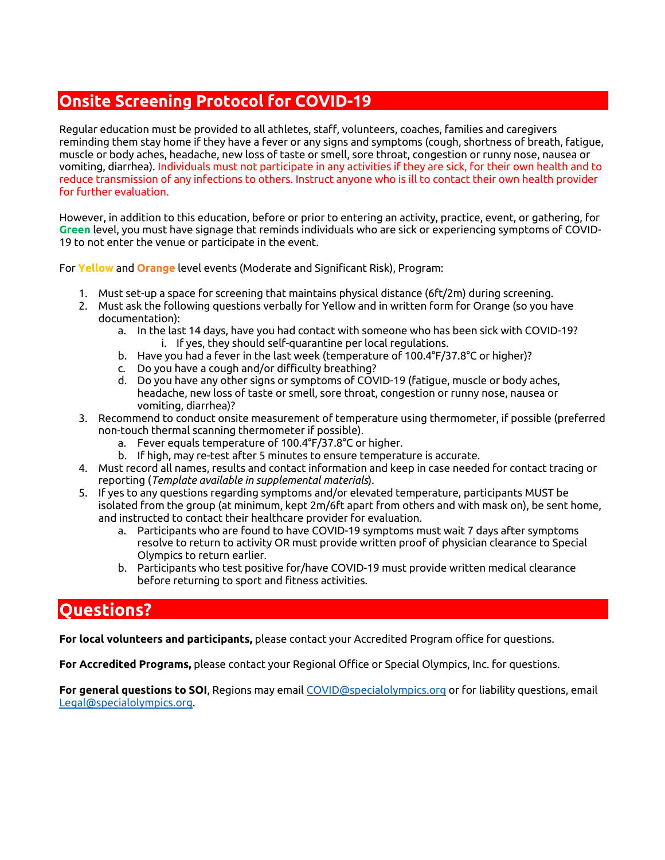## **Onsite Screening Protocol for COVID-19**

Regular education must be provided to all athletes, staff, volunteers, coaches, families and caregivers reminding them stay home if they have a fever or any signs and symptoms (cough, shortness of breath, fatigue, muscle or body aches, headache, new loss of taste or smell, sore throat, congestion or runny nose, nausea or vomiting, diarrhea). Individuals must not participate in any activities if they are sick, for their own health and to reduce transmission of any infections to others. Instruct anyone who is ill to contact their own health provider for further evaluation.

However, in addition to this education, before or prior to entering an activity, practice, event, or gathering, for **Green** level, you must have signage that reminds individuals who are sick or experiencing symptoms of COVID-19 to not enter the venue or participate in the event.

For **Yellow** and **Orange** level events (Moderate and Significant Risk), Program:

- 1. Must set-up a space for screening that maintains physical distance (6ft/2m) during screening.
- 2. Must ask the following questions verbally for Yellow and in written form for Orange (so you have documentation):
	- a. In the last 14 days, have you had contact with someone who has been sick with COVID-19? i. If yes, they should self-quarantine per local regulations.
	- b. Have you had a fever in the last week (temperature of 100.4°F/37.8°C or higher)?
	- c. Do you have a cough and/or difficulty breathing?
	- d. Do you have any other signs or symptoms of COVID-19 (fatigue, muscle or body aches, headache, new loss of taste or smell, sore throat, congestion or runny nose, nausea or vomiting, diarrhea)?
- 3. Recommend to conduct onsite measurement of temperature using thermometer, if possible (preferred non-touch thermal scanning thermometer if possible).
	- a. Fever equals temperature of 100.4°F/37.8°C or higher.
	- b. If high, may re-test after 5 minutes to ensure temperature is accurate.
- 4. Must record all names, results and contact information and keep in case needed for contact tracing or reporting (*Template available in supplemental materials*).
- 5. If yes to any questions regarding symptoms and/or elevated temperature, participants MUST be isolated from the group (at minimum, kept 2m/6ft apart from others and with mask on), be sent home, and instructed to contact their healthcare provider for evaluation.
	- a. Participants who are found to have COVID-19 symptoms must wait 7 days after symptoms resolve to return to activity OR must provide written proof of physician clearance to Special Olympics to return earlier.
	- b. Participants who test positive for/have COVID-19 must provide written medical clearance before returning to sport and fitness activities.

## **Questions?**

**For local volunteers and participants,** please contact your Accredited Program office for questions.

**For Accredited Programs,** please contact your Regional Office or Special Olympics, Inc. for questions.

**For general questions to SOI**, Regions may email COVID@specialolympics.org or for liability questions, email Legal@specialolympics.org.